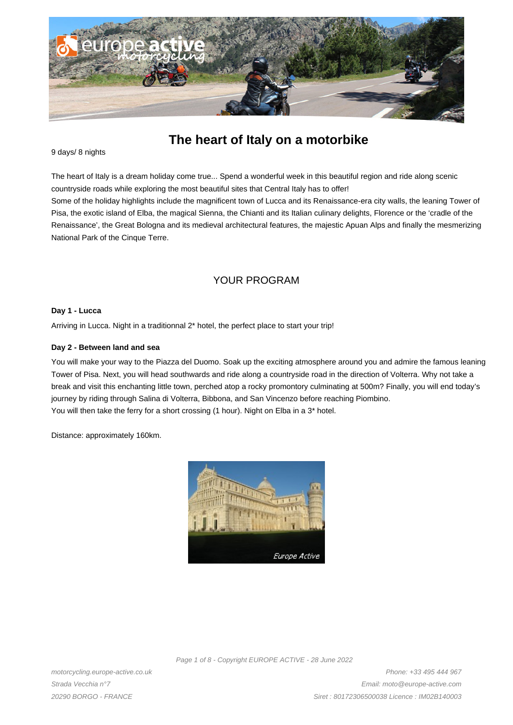

# **The heart of Italy on a motorbike**

#### 9 days/ 8 nights

The heart of Italy is a dream holiday come true... Spend a wonderful week in this beautiful region and ride along scenic countryside roads while exploring the most beautiful sites that Central Italy has to offer!

Some of the holiday highlights include the magnificent town of Lucca and its Renaissance-era city walls, the leaning Tower of Pisa, the exotic island of Elba, the magical Sienna, the Chianti and its Italian culinary delights, Florence or the 'cradle of the Renaissance', the Great Bologna and its medieval architectural features, the majestic Apuan Alps and finally the mesmerizing National Park of the Cinque Terre.

# YOUR PROGRAM

#### **Day 1 - Lucca**

Arriving in Lucca. Night in a traditionnal 2\* hotel, the perfect place to start your trip!

#### **Day 2 - Between land and sea**

You will make your way to the Piazza del Duomo. Soak up the exciting atmosphere around you and admire the famous leaning Tower of Pisa. Next, you will head southwards and ride along a countryside road in the direction of Volterra. Why not take a break and visit this enchanting little town, perched atop a rocky promontory culminating at 500m? Finally, you will end today's journey by riding through Salina di Volterra, Bibbona, and San Vincenzo before reaching Piombino. You will then take the ferry for a short crossing (1 hour). Night on Elba in a 3\* hotel.

Distance: approximately 160km.



Page 1 of 8 - Copyright EUROPE ACTIVE - 28 June 2022

motorcycling.europe-active.co.uk Strada Vecchia n°7 20290 BORGO - FRANCE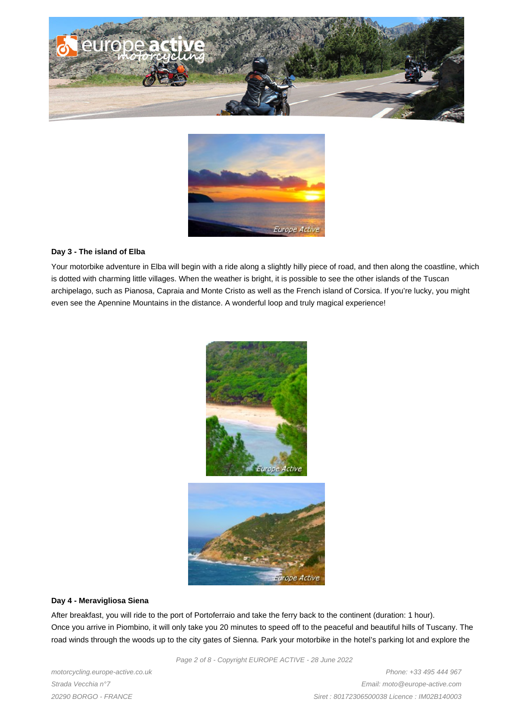



#### **Day 3 - The island of Elba**

Your motorbike adventure in Elba will begin with a ride along a slightly hilly piece of road, and then along the coastline, which is dotted with charming little villages. When the weather is bright, it is possible to see the other islands of the Tuscan archipelago, such as Pianosa, Capraia and Monte Cristo as well as the French island of Corsica. If you're lucky, you might even see the Apennine Mountains in the distance. A wonderful loop and truly magical experience!



#### **Day 4 - Meravigliosa Siena**

After breakfast, you will ride to the port of Portoferraio and take the ferry back to the continent (duration: 1 hour). Once you arrive in Piombino, it will only take you 20 minutes to speed off to the peaceful and beautiful hills of Tuscany. The road winds through the woods up to the city gates of Sienna. Park your motorbike in the hotel's parking lot and explore the

Page 2 of 8 - Copyright EUROPE ACTIVE - 28 June 2022

motorcycling.europe-active.co.uk Strada Vecchia n°7 20290 BORGO - FRANCE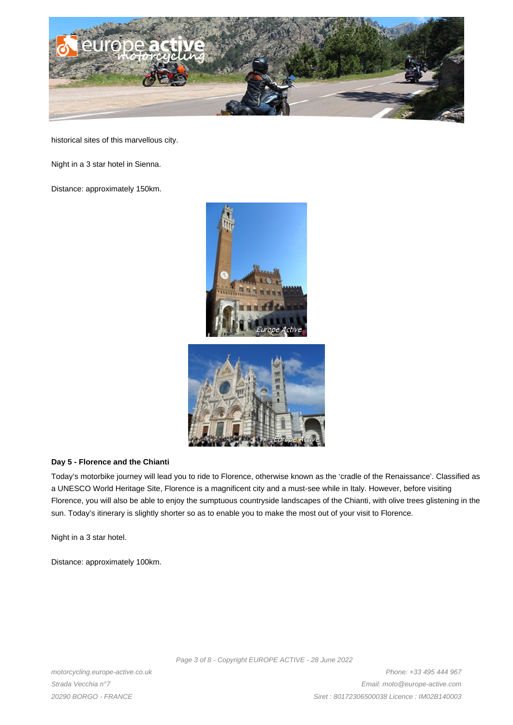

historical sites of this marvellous city.

Night in a 3 star hotel in Sienna.

Distance: approximately 150km.





#### **Day 5 - Florence and the Chianti**

Today's motorbike journey will lead you to ride to Florence, otherwise known as the 'cradle of the Renaissance'. Classified as a UNESCO World Heritage Site, Florence is a magnificent city and a must-see while in Italy. However, before visiting Florence, you will also be able to enjoy the sumptuous countryside landscapes of the Chianti, with olive trees glistening in the sun. Today's itinerary is slightly shorter so as to enable you to make the most out of your visit to Florence.

Night in a 3 star hotel.

Distance: approximately 100km.

Page 3 of 8 - Copyright EUROPE ACTIVE - 28 June 2022

motorcycling.europe-active.co.uk Strada Vecchia n°7 20290 BORGO - FRANCE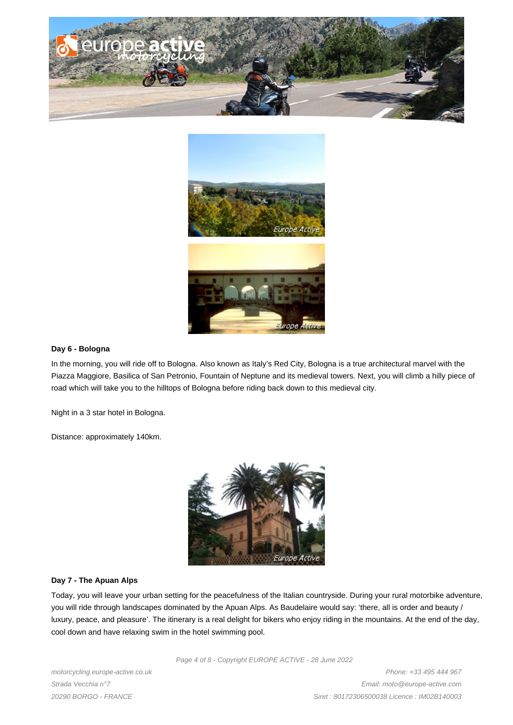



#### **Day 6 - Bologna**

In the morning, you will ride off to Bologna. Also known as Italy's Red City, Bologna is a true architectural marvel with the Piazza Maggiore, Basilica of San Petronio, Fountain of Neptune and its medieval towers. Next, you will climb a hilly piece of road which will take you to the hilltops of Bologna before riding back down to this medieval city.

Night in a 3 star hotel in Bologna.

Distance: approximately 140km.



#### **Day 7 - The Apuan Alps**

Today, you will leave your urban setting for the peacefulness of the Italian countryside. During your rural motorbike adventure, you will ride through landscapes dominated by the Apuan Alps. As Baudelaire would say: 'there, all is order and beauty / luxury, peace, and pleasure'. The itinerary is a real delight for bikers who enjoy riding in the mountains. At the end of the day, cool down and have relaxing swim in the hotel swimming pool.

Page 4 of 8 - Copyright EUROPE ACTIVE - 28 June 2022

motorcycling.europe-active.co.uk Strada Vecchia n°7 20290 BORGO - FRANCE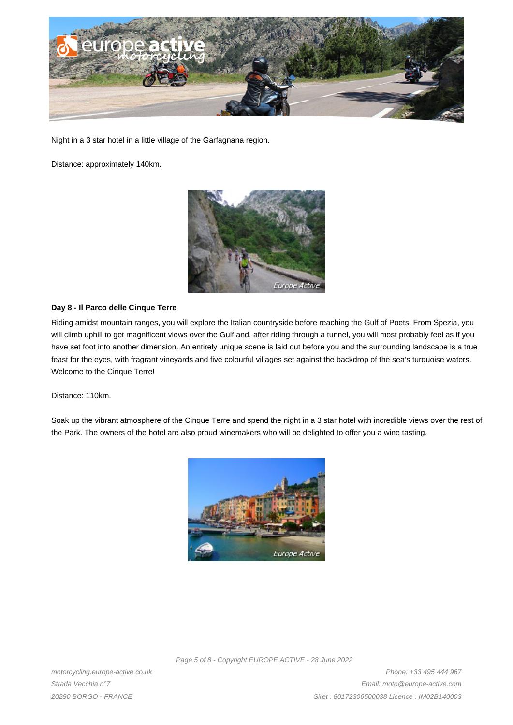

Night in a 3 star hotel in a little village of the Garfagnana region.

Distance: approximately 140km.



#### **Day 8 - Il Parco delle Cinque Terre**

Riding amidst mountain ranges, you will explore the Italian countryside before reaching the Gulf of Poets. From Spezia, you will climb uphill to get magnificent views over the Gulf and, after riding through a tunnel, you will most probably feel as if you have set foot into another dimension. An entirely unique scene is laid out before you and the surrounding landscape is a true feast for the eyes, with fragrant vineyards and five colourful villages set against the backdrop of the sea's turquoise waters. Welcome to the Cinque Terre!

Distance: 110km.

Soak up the vibrant atmosphere of the Cinque Terre and spend the night in a 3 star hotel with incredible views over the rest of the Park. The owners of the hotel are also proud winemakers who will be delighted to offer you a wine tasting.



Page 5 of 8 - Copyright EUROPE ACTIVE - 28 June 2022

motorcycling.europe-active.co.uk Strada Vecchia n°7 20290 BORGO - FRANCE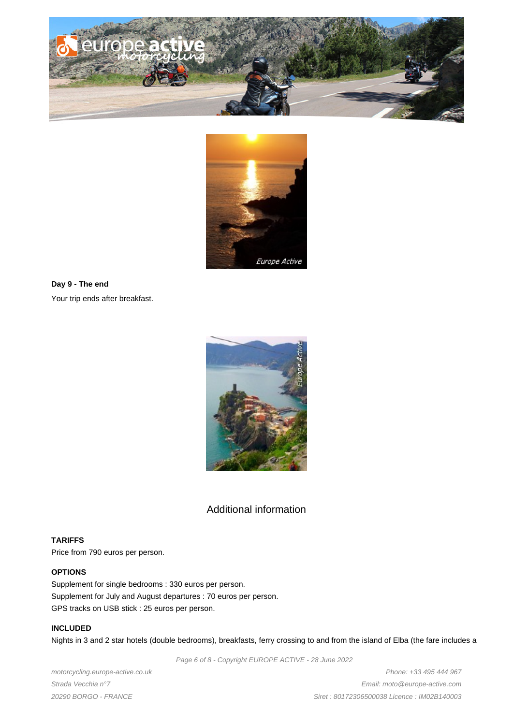



**Day 9 - The end** Your trip ends after breakfast.



# Additional information

# **TARIFFS**

Price from 790 euros per person.

# **OPTIONS**

Supplement for single bedrooms : 330 euros per person. Supplement for July and August departures : 70 euros per person. GPS tracks on USB stick : 25 euros per person.

# **INCLUDED**

Nights in 3 and 2 star hotels (double bedrooms), breakfasts, ferry crossing to and from the island of Elba (the fare includes a

Page 6 of 8 - Copyright EUROPE ACTIVE - 28 June 2022

motorcycling.europe-active.co.uk Strada Vecchia n°7 20290 BORGO - FRANCE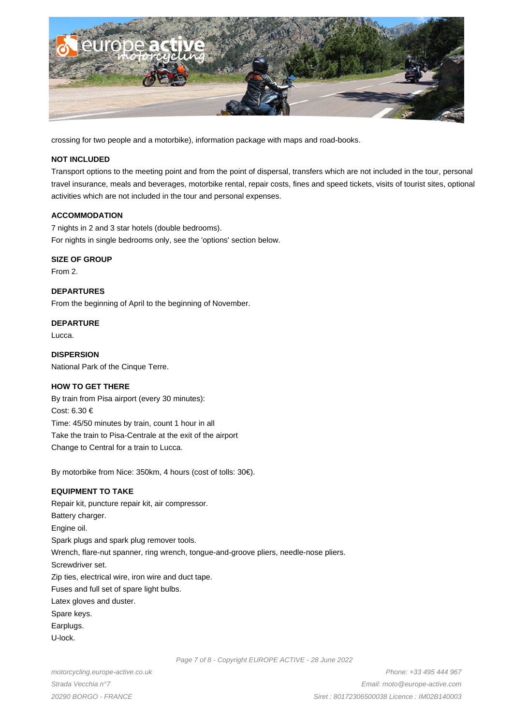

crossing for two people and a motorbike), information package with maps and road-books.

#### **NOT INCLUDED**

Transport options to the meeting point and from the point of dispersal, transfers which are not included in the tour, personal travel insurance, meals and beverages, motorbike rental, repair costs, fines and speed tickets, visits of tourist sites, optional activities which are not included in the tour and personal expenses.

#### **ACCOMMODATION**

7 nights in 2 and 3 star hotels (double bedrooms). For nights in single bedrooms only, see the 'options' section below.

#### **SIZE OF GROUP**

From 2.

**DEPARTURES** From the beginning of April to the beginning of November.

**DEPARTURE** Lucca.

**DISPERSION** National Park of the Cinque Terre.

## **HOW TO GET THERE**

By train from Pisa airport (every 30 minutes): Cost: 6.30 € Time: 45/50 minutes by train, count 1 hour in all Take the train to Pisa-Centrale at the exit of the airport Change to Central for a train to Lucca.

By motorbike from Nice: 350km, 4 hours (cost of tolls: 30€).

## **EQUIPMENT TO TAKE**

Repair kit, puncture repair kit, air compressor. Battery charger. Engine oil. Spark plugs and spark plug remover tools. Wrench, flare-nut spanner, ring wrench, tongue-and-groove pliers, needle-nose pliers. Screwdriver set. Zip ties, electrical wire, iron wire and duct tape. Fuses and full set of spare light bulbs. Latex gloves and duster. Spare keys. Earplugs. U-lock.

motorcycling.europe-active.co.uk Strada Vecchia n°7 20290 BORGO - FRANCE

Page 7 of 8 - Copyright EUROPE ACTIVE - 28 June 2022